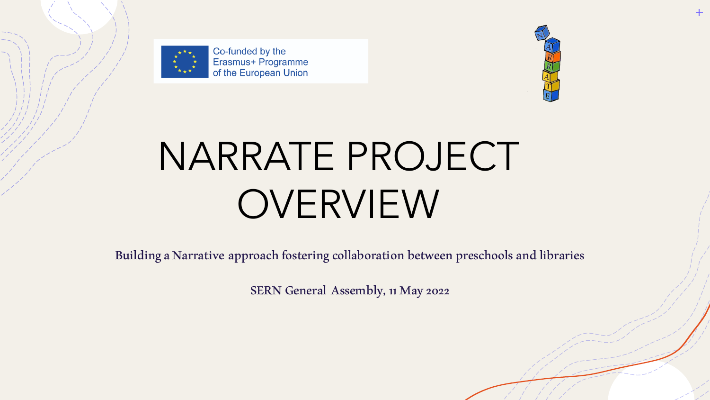

Co-funded by the Erasmus+ Programme of the European Union



# NARRATE PROJECT OVERVIEW

Building a Narrative approach fostering collaboration between preschools and libraries

SERN General Assembly, 11 May 2022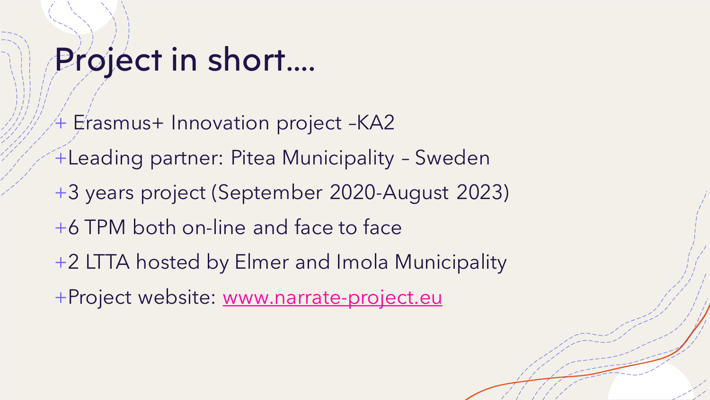### Project in short….

- $+$  Erasmus+ Innovation project -KA2
- +Leading partner: Pitea Municipality Sweden
- +3 years project (September 2020-August 2023)
- +6 TPM both on-line and face to face
- +2 LTTA hosted by Elmer and Imola Municipality
- +Project website: [www.narrate-project.eu](http://www.narrate-project.eu/)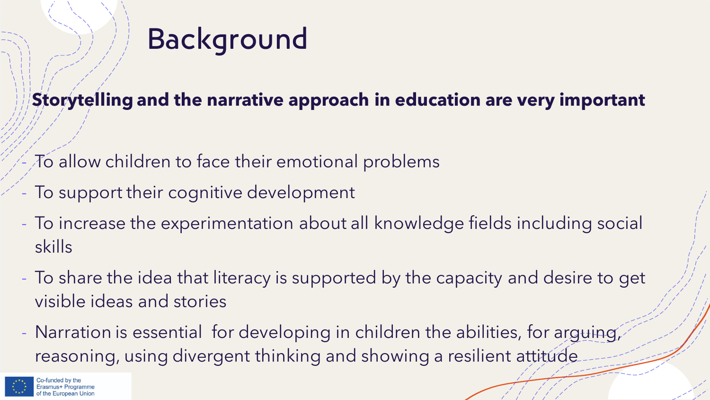

### **Storytelling and the narrative approach in education are very important**

- To allow children to face their emotional problems
- To support their cognitive development
- To increase the experimentation about all knowledge fields including social skills
- To share the idea that literacy is supported by the capacity and desire to get visible ideas and stories
- Narration is essential for developing in children the abilities, for arguing, reasoning, using divergent thinking and showing a resilient attitude

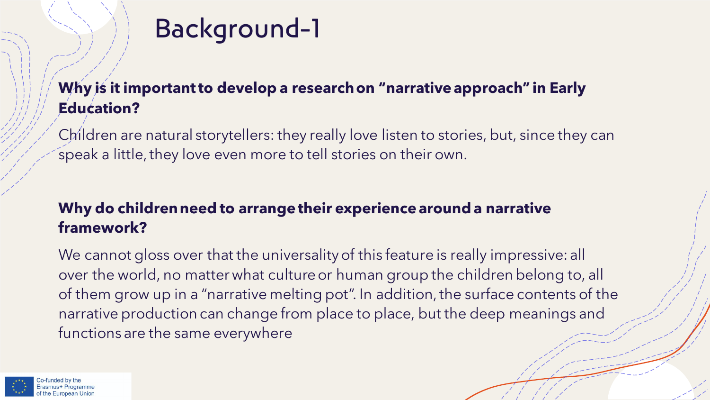### Background-1

#### **Why is it important to develop a research on "narrative approach" in Early Education?**

Children are natural storytellers: they really love listen to stories, but, since they can speak a little, they love even more to tell stories on their own.

#### **Why do children need to arrange their experience around a narrative framework?**

We cannot gloss over that the universality of this feature is really impressive: all over the world, no matter what culture or human group the children belong to, all of them grow up in a "narrative melting pot". In addition, the surface contents of the narrative production can change from place to place, but the deep meanings and functions are the same everywhere

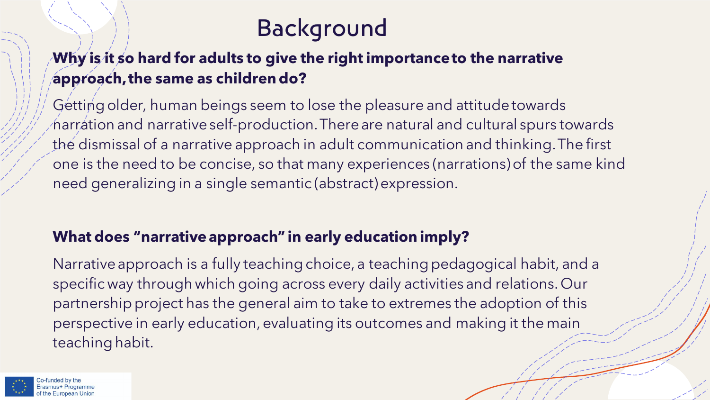### Background

#### **Why is it so hard for adults to give the right importance to the narrative approach, the same as children do?**

Getting older, human beings seem to lose the pleasure and attitude towards narration and narrative self-production. There are natural and cultural spurs towards the dismissal of a narrative approach in adult communication and thinking. The first one is the need to be concise, so that many experiences (narrations) of the same kind need generalizing in a single semantic (abstract) expression.

#### **What does "narrative approach" in early education imply?**

Narrative approach is a fully teaching choice, a teaching pedagogical habit, and a specific way through which going across every daily activities and relations. Our partnership project has the general aim to take to extremes the adoption of this perspective in early education, evaluating its outcomes and making it the main teaching habit.

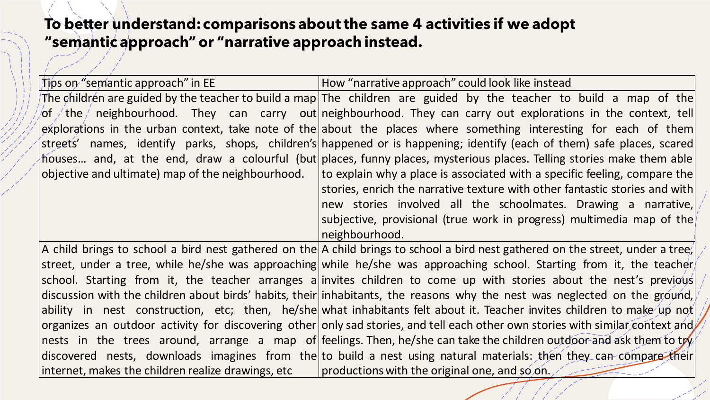#### **To better understand: comparisons about the same 4 activities if we adopt "semantic approach" or "narrative approach instead.**

| Tips on "semantic approach" in EE                  | How "narrative approach" could look like instead                                                                                |
|----------------------------------------------------|---------------------------------------------------------------------------------------------------------------------------------|
|                                                    | The children are guided by the teacher to build a map The children are guided by the teacher to build a map of the              |
|                                                    | /of /the / neighbourhood. They can carry out neighbourhood. They can carry out explorations in the context, tell                |
|                                                    | $ $ explorations in the urban context, take note of the about the places where something interesting for each of them           |
|                                                    | streets' names, identify parks, shops, children's happened or is happening; identify (each of them) safe places, scared         |
|                                                    | houses and, at the end, draw a colourful (but places, funny places, mysterious places. Telling stories make them able           |
| objective and ultimate) map of the neighbourhood.  | to explain why a place is associated with a specific feeling, compare the                                                       |
|                                                    | stories, enrich the narrative texture with other fantastic stories and with                                                     |
|                                                    | new stories involved all the schoolmates. Drawing a narrative,                                                                  |
|                                                    | subjective, provisional (true work in progress) multimedia map of the                                                           |
|                                                    | neighbourhood.                                                                                                                  |
|                                                    | A child brings to school a bird nest gathered on the A child brings to school a bird nest gathered on the street, under a tree/ |
|                                                    | street, under a tree, while he/she was approaching while he/she was approaching school. Starting from it, the teacher           |
|                                                    | school. Starting from it, the teacher arranges a invites children to come up with stories about the nest's previous             |
|                                                    | discussion with the children about birds' habits, their inhabitants, the reasons why the nest was neglected on the ground,      |
|                                                    | ability in nest construction, etc; then, he/she what inhabitants felt about it. Teacher invites children to make up not         |
|                                                    | organizes an outdoor activity for discovering other only sad stories, and tell each other own stories with similar context and  |
|                                                    | nests in the trees around, arrange a map of feelings. Then, he/she can take the children outdoor and ask them to try            |
|                                                    | discovered nests, downloads imagines from the to build a nest using natural materials: then they can-compare their              |
| internet, makes the children realize drawings, etc | productions with the original one, and so on. $\angle$                                                                          |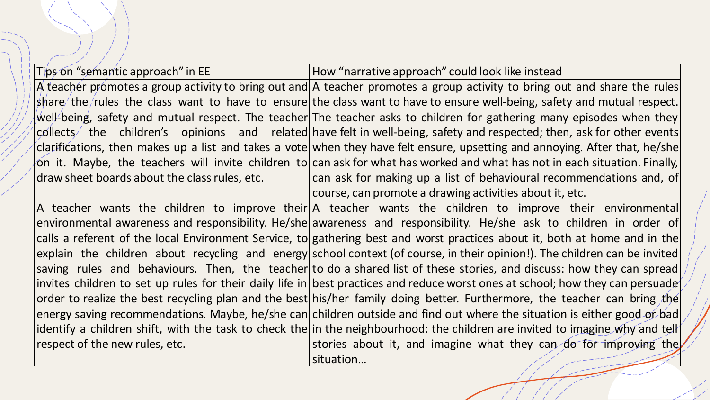| Tips on "semantic approach" in EE             | How "narrative approach" could look like instead                                                                                 |
|-----------------------------------------------|----------------------------------------------------------------------------------------------------------------------------------|
|                                               | A teacher promotes a group activity to bring out and A teacher promotes a group activity to bring out and share the rules        |
|                                               | $\vert$ share/the/rules the class want to have to ensure the class want to have to ensure well-being, safety and mutual respect. |
|                                               | well-being, safety and mutual respect. The teacher The teacher asks to children for gathering many episodes when they            |
|                                               | $ $ collects the children's opinions and related have-felt in-well-being, safety and respected; then, ask for other events       |
|                                               | clarifications, then makes up a list and takes a vote when they have felt ensure, upsetting and annoying. After that, he/she     |
|                                               | on it. Maybe, the teachers will invite children to can ask for what has worked and what has not in each situation. Finally,      |
| draw sheet boards about the class rules, etc. | can ask for making up a list of behavioural recommendations and, of                                                              |
|                                               | course, can promote a drawing activities about it, etc.                                                                          |
|                                               | $ A $ teacher wants the children to improve their $ A $ teacher wants the children to improve their environmental                |
|                                               | environmental awareness and responsibility. He/she awareness and responsibility. He/she ask to children in order of              |
|                                               | calls a referent of the local Environment Service, to gathering best and worst practices about it, both at home and in the       |
|                                               | explain the children about recycling and energy school context (of course, in their opinion!). The children can be invited       |
|                                               | saving rules and behaviours. Then, the teacher to do a shared list of these stories, and discuss: how they can spread            |
|                                               | invites children to set up rules for their daily life in best practices and reduce worst ones at school; how they can persuade   |
|                                               | order to realize the best recycling plan and the best his/her family doing better. Furthermore, the teacher can bring the        |
|                                               | energy saving recommendations. Maybe, he/she can children outside and find out where the situation is either good or bad         |
|                                               | identify a children shift, with the task to check the in the neighbourhood: the children are invited to imagine why and tell     |
| respect of the new rules, etc.                | stories about it, and imagine what they can do for improving the                                                                 |

situation…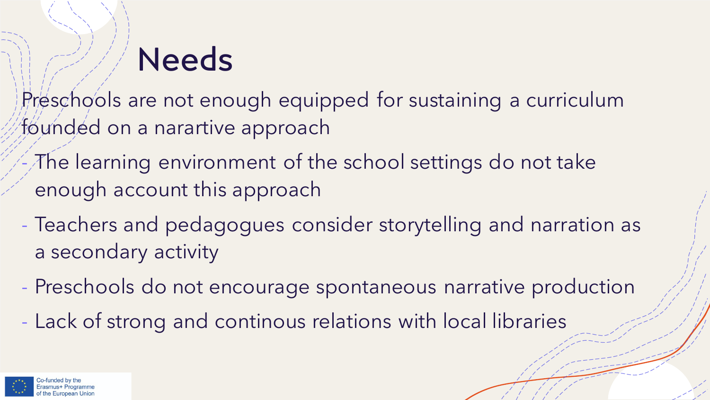## **Needs**

Preschools are not enough equipped for sustaining a curriculum founded on a narartive approach

- The learning environment of the school settings do not take enough account this approach
- Teachers and pedagogues consider storytelling and narration as a secondary activity
- Preschools do not encourage spontaneous narrative production
- Lack of strong and continous relations with local libraries

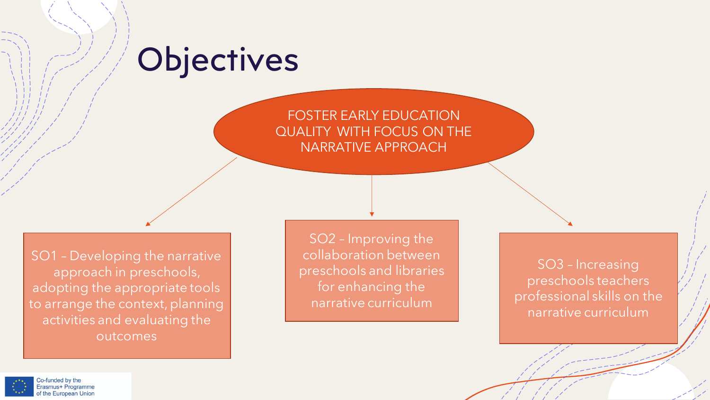### **Objectives**

#### FOSTER EARLY EDUCATION QUALITY WITH FOCUS ON THE NARRATIVE APPROACH

SO1 – Developing the narrative approach in preschools, adopting the appropriate tools to arrange the context, planning activities and evaluating the outcomes

SO2 – Improving the collaboration between preschools and libraries for enhancing the narrative curriculum

SO3 – Increasing preschools teachers professional skills on the narrative curriculum

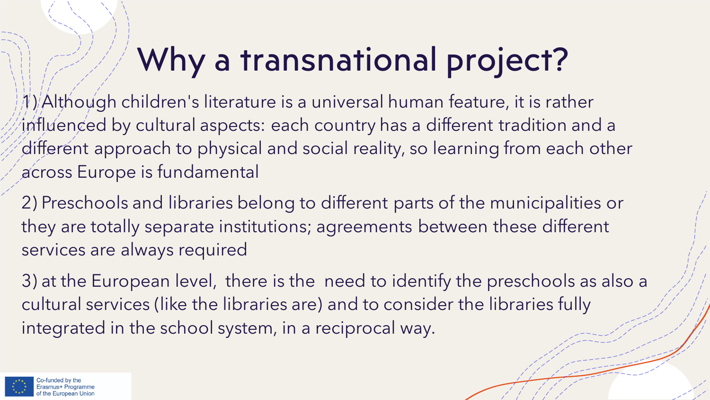## Why a transnational project?

1) Although children's literature is a universal human feature, it is rather influenced by cultural aspects: each country has a different tradition and a different approach to physical and social reality, so learning from each other across Europe is fundamental

2) Preschools and libraries belong to different parts of the municipalities or they are totally separate institutions; agreements between these different services are always required

3) at the European level, there is the need to identify the preschools as also a cultural services (like the libraries are) and to consider the libraries fully integrated in the school system, in a reciprocal way.

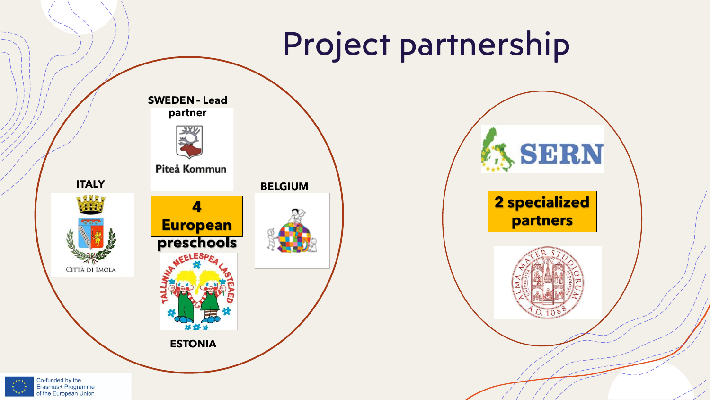### Project partnership

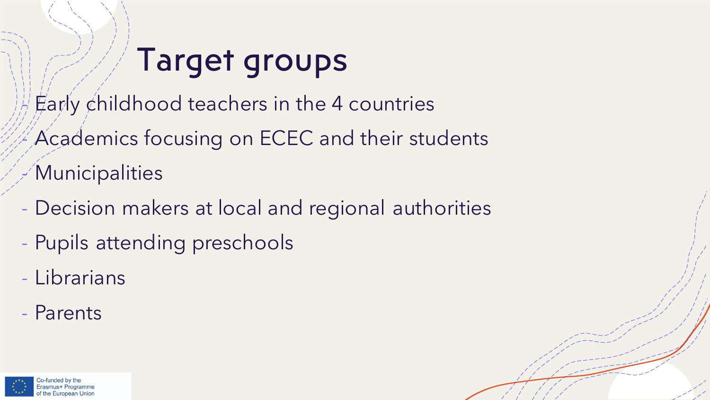## Target groups

 $E$ arly childhood teachers in the 4 countries

Academics focusing on ECEC and their students **Municipalities** 

- Decision makers at local and regional authorities
- Pupils attending preschools
- Librarians
- Parents

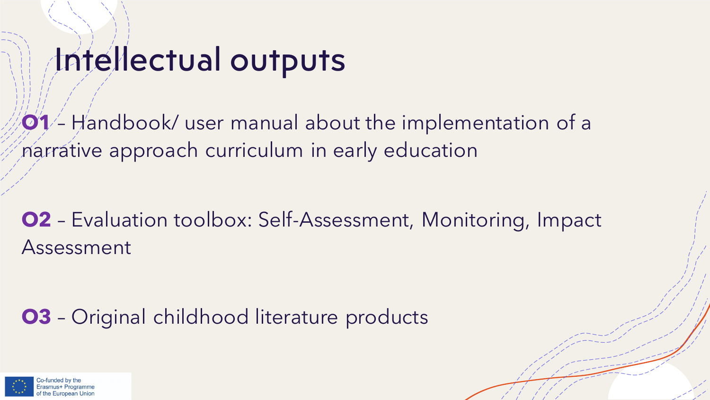### Intellectual outputs

**O1** – Handbook user manual about the implementation of a narrative approach curriculum in early education

**O2** – Evaluation toolbox: Self-Assessment, Monitoring, Impact Assessment

**O3** – Original childhood literature products

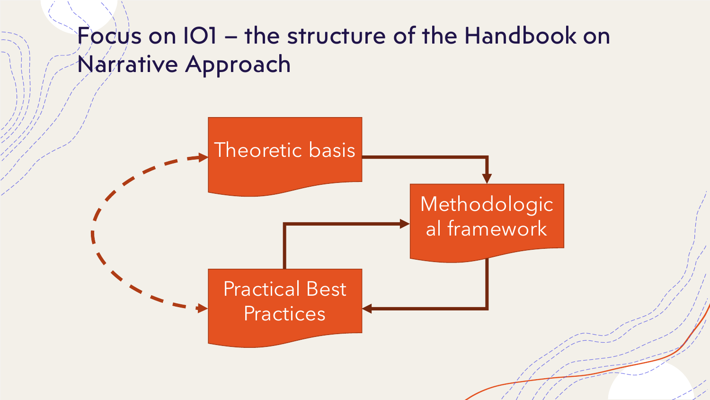### Focus on IO1 – the structure of the Handbook on Narrative Approach

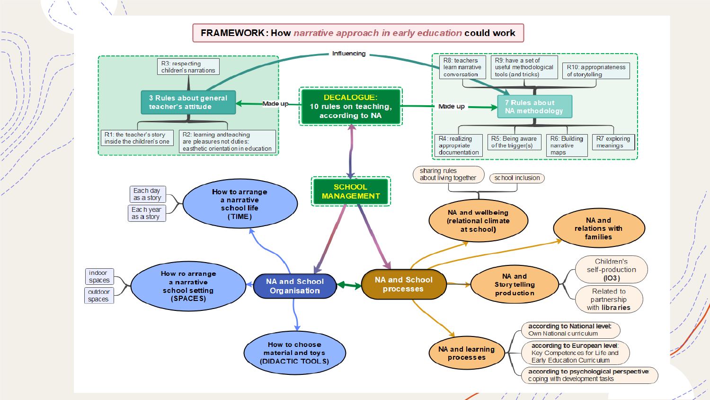#### **FRAMEWORK: How narrative approach in early education could work**



 $1 \quad 1 \quad 1 \quad 1 \quad 1$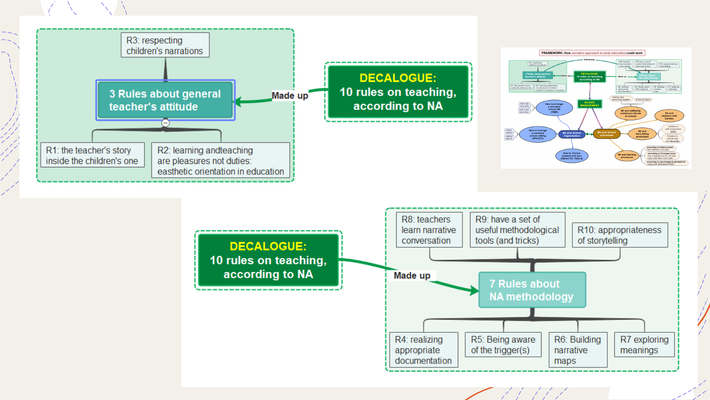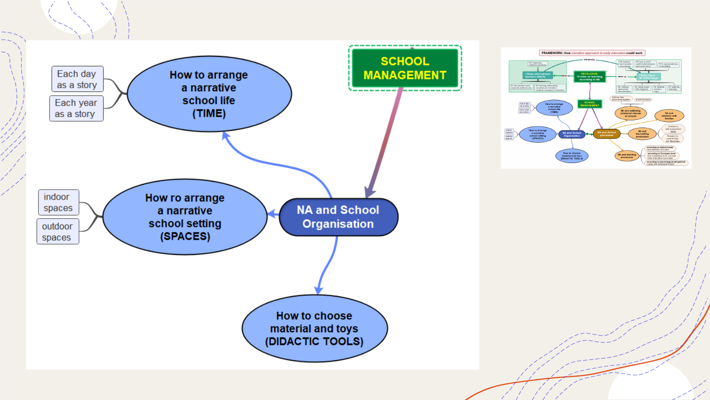

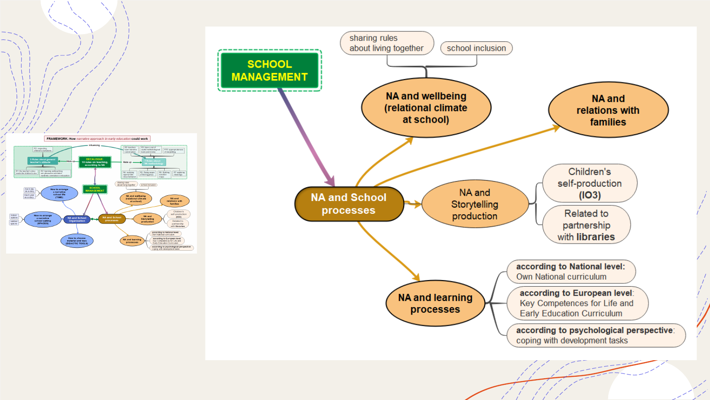